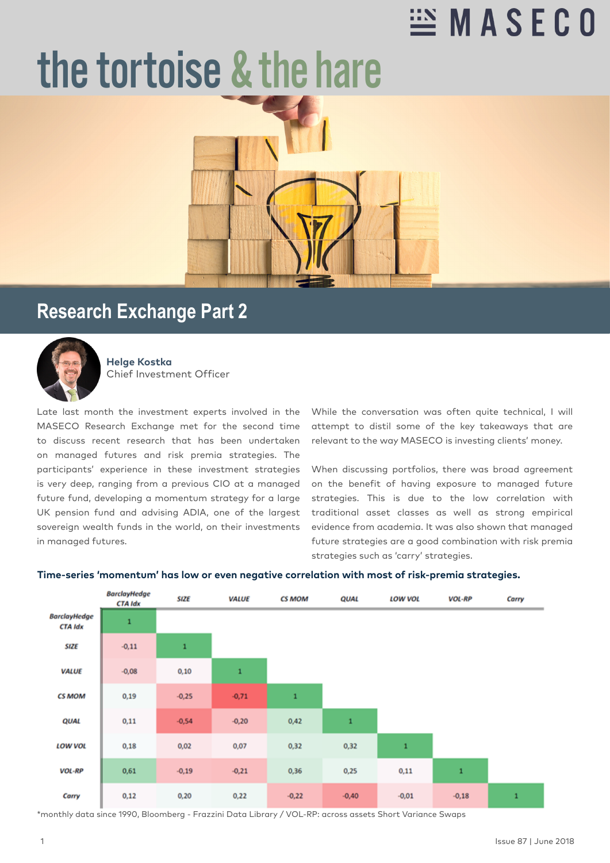## $\cong$  MASECO

# the tortoise & the hare



### **Research Exchange Part 2**



**Helge Kostka** Chief Investment Officer

Late last month the investment experts involved in the MASECO Research Exchange met for the second time to discuss recent research that has been undertaken on managed futures and risk premia strategies. The participants' experience in these investment strategies is very deep, ranging from a previous CIO at a managed future fund, developing a momentum strategy for a large UK pension fund and advising ADIA, one of the largest sovereign wealth funds in the world, on their investments in managed futures.

While the conversation was often quite technical, I will attempt to distil some of the key takeaways that are relevant to the way MASECO is investing clients' money.

When discussing portfolios, there was broad agreement on the benefit of having exposure to managed future strategies. This is due to the low correlation with traditional asset classes as well as strong empirical evidence from academia. It was also shown that managed future strategies are a good combination with risk premia strategies such as 'carry' strategies.



#### **Time-series 'momentum' has low or even negative correlation with most of risk-premia strategies.**

\*monthly data since 1990, Bloomberg - Frazzini Data Library / VOL-RP: across assets Short Variance Swaps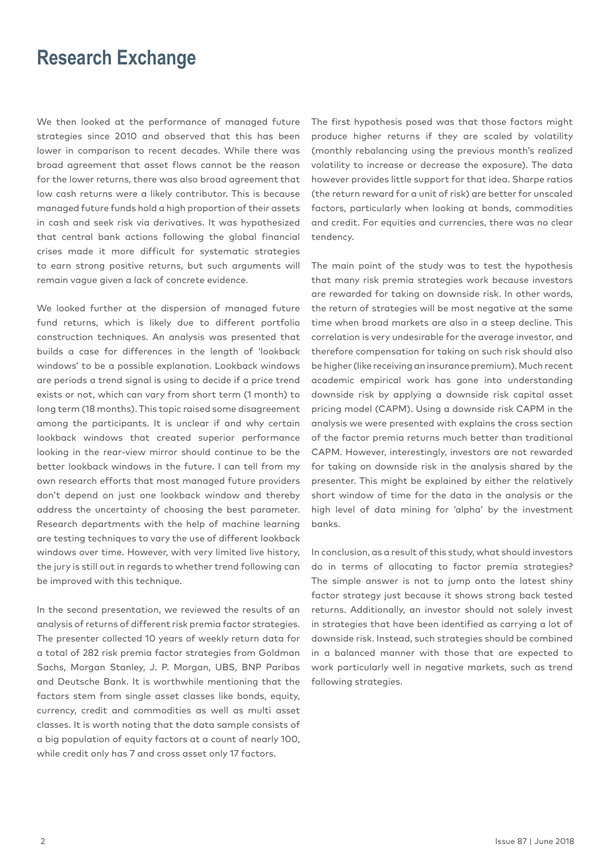#### **Research Exchange**

We then looked at the performance of managed future strategies since 2010 and observed that this has been lower in comparison to recent decades. While there was broad agreement that asset flows cannot be the reason for the lower returns, there was also broad agreement that low cash returns were a likely contributor. This is because managed future funds hold a high proportion of their assets in cash and seek risk via derivatives. It was hypothesized that central bank actions following the global financial crises made it more difficult for systematic strategies to earn strong positive returns, but such arguments will remain vague given a lack of concrete evidence.

We looked further at the dispersion of managed future fund returns, which is likely due to different portfolio construction techniques. An analysis was presented that builds a case for differences in the length of 'lookback windows' to be a possible explanation. Lookback windows are periods a trend signal is using to decide if a price trend exists or not, which can vary from short term (1 month) to long term (18 months). This topic raised some disagreement among the participants. It is unclear if and why certain lookback windows that created superior performance looking in the rear-view mirror should continue to be the better lookback windows in the future. I can tell from my own research efforts that most managed future providers don't depend on just one lookback window and thereby address the uncertainty of choosing the best parameter. Research departments with the help of machine learning are testing techniques to vary the use of different lookback windows over time. However, with very limited live history, the jury is still out in regards to whether trend following can be improved with this technique.

In the second presentation, we reviewed the results of an analysis of returns of different risk premia factor strategies. The presenter collected 10 years of weekly return data for a total of 282 risk premia factor strategies from Goldman Sachs, Morgan Stanley, J. P. Morgan, UBS, BNP Paribas and Deutsche Bank. It is worthwhile mentioning that the factors stem from single asset classes like bonds, equity, currency, credit and commodities as well as multi asset classes. It is worth noting that the data sample consists of a big population of equity factors at a count of nearly 100, while credit only has 7 and cross asset only 17 factors.

The first hypothesis posed was that those factors might produce higher returns if they are scaled by volatility (monthly rebalancing using the previous month's realized volatility to increase or decrease the exposure). The data however provides little support for that idea. Sharpe ratios (the return reward for a unit of risk) are better for unscaled factors, particularly when looking at bonds, commodities and credit. For equities and currencies, there was no clear tendency.

The main point of the study was to test the hypothesis that many risk premia strategies work because investors are rewarded for taking on downside risk. In other words, the return of strategies will be most negative at the same time when broad markets are also in a steep decline. This correlation is very undesirable for the average investor, and therefore compensation for taking on such risk should also be higher (like receiving an insurance premium). Much recent academic empirical work has gone into understanding downside risk by applying a downside risk capital asset pricing model (CAPM). Using a downside risk CAPM in the analysis we were presented with explains the cross section of the factor premia returns much better than traditional CAPM. However, interestingly, investors are not rewarded for taking on downside risk in the analysis shared by the presenter. This might be explained by either the relatively short window of time for the data in the analysis or the high level of data mining for 'alpha' by the investment banks.

In conclusion, as a result of this study, what should investors do in terms of allocating to factor premia strategies? The simple answer is not to jump onto the latest shiny factor strategy just because it shows strong back tested returns. Additionally, an investor should not solely invest in strategies that have been identified as carrying a lot of downside risk. Instead, such strategies should be combined in a balanced manner with those that are expected to work particularly well in negative markets, such as trend following strategies.